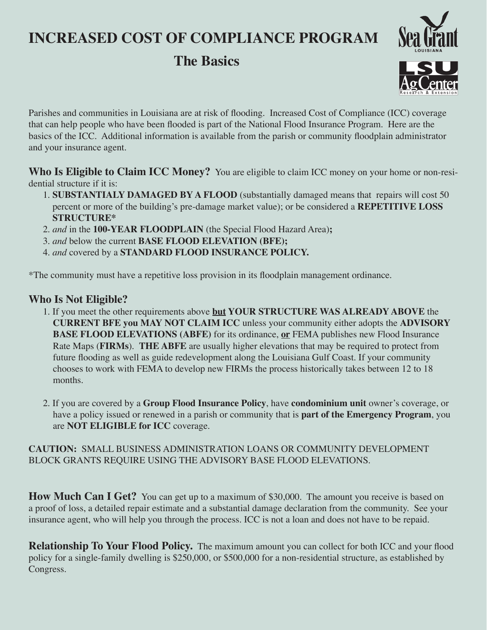# **INCREASED COST OF COMPLIANCE PROGRAM**

## **The Basics**





Parishes and communities in Louisiana are at risk of flooding. Increased Cost of Compliance (ICC) coverage that can help people who have been flooded is part of the National Flood Insurance Program. Here are the basics of the ICC. Additional information is available from the parish or community floodplain administrator and your insurance agent.

**Who Is Eligible to Claim ICC Money?** You are eligible to claim ICC money on your home or non-residential structure if it is:

- 1. **SUBSTANTIALY DAMAGED BY A FLOOD** (substantially damaged means that repairs will cost 50 percent or more of the building's pre-damage market value); or be considered a **REPETITIVE LOSS STRUCTURE\***
- 2. *and* in the **100-YEAR FLOODPLAIN** (the Special Flood Hazard Area)**;**
- 3. *and* below the current **BASE FLOOD ELEVATION (BFE);**
- 4. *and* covered by a **STANDARD FLOOD INSURANCE POLICY.**

\*The community must have a repetitive loss provision in its floodplain management ordinance.

### **Who Is Not Eligible?**

- 1. If you meet the other requirements above **but YOUR STRUCTURE WAS ALREADY ABOVE** the **CURRENT BFE you MAY NOT CLAIM ICC** unless your community either adopts the **ADVISORY BASE FLOOD ELEVATIONS (ABFE)** for its ordinance, **or** FEMA publishes new Flood Insurance Rate Maps (**FIRMs**). **THE ABFE** are usually higher elevations that may be required to protect from future flooding as well as guide redevelopment along the Louisiana Gulf Coast. If your community chooses to work with FEMA to develop new FIRMs the process historically takes between 12 to 18 months.
- 2. If you are covered by a **Group Flood Insurance Policy**, have **condominium unit** owner's coverage, or have a policy issued or renewed in a parish or community that is **part of the Emergency Program**, you are **NOT ELIGIBLE for ICC** coverage.

#### **CAUTION:** SMALL BUSINESS ADMINISTRATION LOANS OR COMMUNITY DEVELOPMENT BLOCK GRANTS REQUIRE USING THE ADVISORY BASE FLOOD ELEVATIONS.

**How Much Can I Get?** You can get up to a maximum of \$30,000. The amount you receive is based on a proof of loss, a detailed repair estimate and a substantial damage declaration from the community. See your insurance agent, who will help you through the process. ICC is not a loan and does not have to be repaid.

**Relationship To Your Flood Policy.** The maximum amount you can collect for both ICC and your flood policy for a single-family dwelling is \$250,000, or \$500,000 for a non-residential structure, as established by Congress.